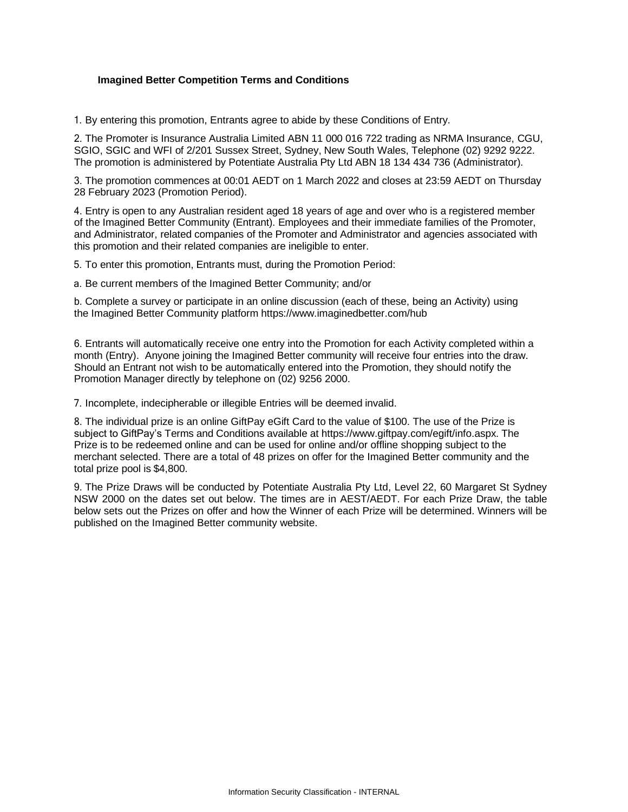## **Imagined Better Competition Terms and Conditions**

1. By entering this promotion, Entrants agree to abide by these Conditions of Entry.

2. The Promoter is Insurance Australia Limited ABN 11 000 016 722 trading as NRMA Insurance, CGU, SGIO, SGIC and WFI of 2/201 Sussex Street, Sydney, New South Wales, Telephone (02) 9292 9222. The promotion is administered by Potentiate Australia Pty Ltd ABN 18 134 434 736 (Administrator).

3. The promotion commences at 00:01 AEDT on 1 March 2022 and closes at 23:59 AEDT on Thursday 28 February 2023 (Promotion Period).

4. Entry is open to any Australian resident aged 18 years of age and over who is a registered member of the Imagined Better Community (Entrant). Employees and their immediate families of the Promoter, and Administrator, related companies of the Promoter and Administrator and agencies associated with this promotion and their related companies are ineligible to enter.

5. To enter this promotion, Entrants must, during the Promotion Period:

a. Be current members of the Imagined Better Community; and/or

b. Complete a survey or participate in an online discussion (each of these, being an Activity) using the Imagined Better Community platform <https://www.imaginedbetter.com/hub>

6. Entrants will automatically receive one entry into the Promotion for each Activity completed within a month (Entry). Anyone joining the Imagined Better community will receive four entries into the draw. Should an Entrant not wish to be automatically entered into the Promotion, they should notify the Promotion Manager directly by telephone on (02) 9256 2000.

7. Incomplete, indecipherable or illegible Entries will be deemed invalid.

8. The individual prize is an online GiftPay eGift Card to the value of \$100. The use of the Prize is subject to GiftPay's Terms and Conditions available at http[s://www.gif](http://www.giftpay.com/egift/info.aspx)t[pay.com/egift/info.aspx.](http://www.giftpay.com/egift/info.aspx) The [Pr](http://www.giftpay.com/egift/info.aspx)ize is to be redeemed online and can be used for online and/or offline shopping subject to the merchant selected. There are a total of 48 prizes on offer for the Imagined Better community and the total prize pool is \$4,800.

9. The Prize Draws will be conducted by Potentiate Australia Pty Ltd, Level 22, 60 Margaret St Sydney NSW 2000 on the dates set out below. The times are in AEST/AEDT. For each Prize Draw, the table below sets out the Prizes on offer and how the Winner of each Prize will be determined. Winners will be published on the Imagined Better community website.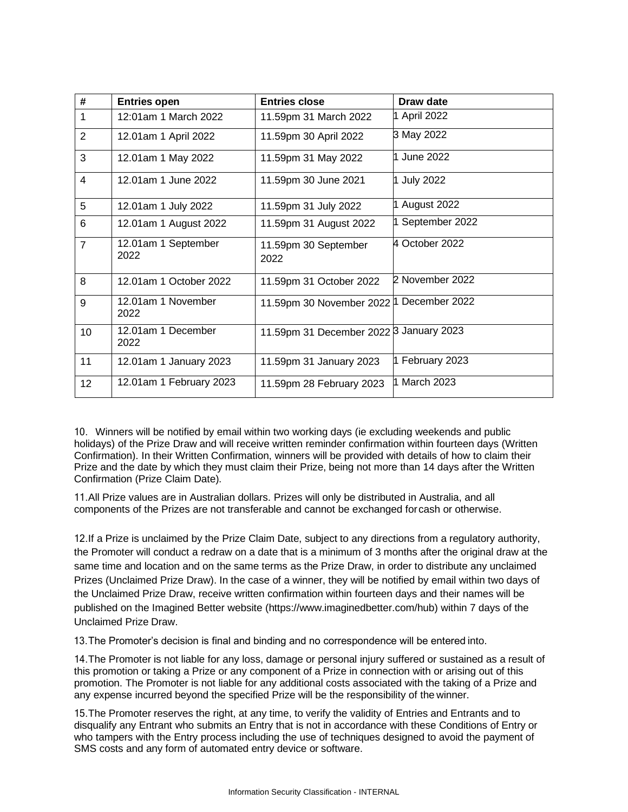| #              | <b>Entries open</b>         | <b>Entries close</b>                     | Draw date        |
|----------------|-----------------------------|------------------------------------------|------------------|
| 1              | 12:01am 1 March 2022        | 11.59pm 31 March 2022                    | 1 April 2022     |
| $\overline{2}$ | 12.01am 1 April 2022        | 11.59pm 30 April 2022                    | 3 May 2022       |
| 3              | 12.01am 1 May 2022          | 11.59pm 31 May 2022                      | 1 June 2022      |
| 4              | 12.01am 1 June 2022         | 11.59pm 30 June 2021                     | 1 July 2022      |
| 5              | 12.01am 1 July 2022         | 11.59pm 31 July 2022                     | 1 August 2022    |
| 6              | 12.01am 1 August 2022       | 11.59pm 31 August 2022                   | 1 September 2022 |
| $\overline{7}$ | 12.01am 1 September<br>2022 | 11.59pm 30 September<br>2022             | 4 October 2022   |
| 8              | 12.01am 1 October 2022      | 11.59pm 31 October 2022                  | 2 November 2022  |
| 9              | 12.01am 1 November<br>2022  | 11.59pm 30 November 2022 1 December 2022 |                  |
| 10             | 12.01am 1 December<br>2022  | 11.59pm 31 December 2022 3 January 2023  |                  |
| 11             | 12.01am 1 January 2023      | 11.59pm 31 January 2023                  | 1 February 2023  |
| 12             | 12.01am 1 February 2023     | 11.59pm 28 February 2023                 | 1 March 2023     |

10. Winners will be notified by email within two working days (ie excluding weekends and public holidays) of the Prize Draw and will receive written reminder confirmation within fourteen days (Written Confirmation). In their Written Confirmation, winners will be provided with details of how to claim their Prize and the date by which they must claim their Prize, being not more than 14 days after the Written Confirmation (Prize Claim Date).

11.All Prize values are in Australian dollars. Prizes will only be distributed in Australia, and all components of the Prizes are not transferable and cannot be exchanged forcash or otherwise.

12.If a Prize is unclaimed by the Prize Claim Date, subject to any directions from a regulatory authority, the Promoter will conduct a redraw on a date that is a minimum of 3 months after the original draw at the same time and location and on the same terms as the Prize Draw, in order to distribute any unclaimed Prizes (Unclaimed Prize Draw). In the case of a winner, they will be notified by email within two days of the Unclaimed Prize Draw, receive written confirmation within fourteen days and their names will be published on the Imagined Better website [\(https://www.imaginedbetter.com/hub\)](https://www.imaginedbetter.com/hub) within 7 days of the Unclaimed Prize Draw.

13.The Promoter's decision is final and binding and no correspondence will be entered into.

14.The Promoter is not liable for any loss, damage or personal injury suffered or sustained as a result of this promotion or taking a Prize or any component of a Prize in connection with or arising out of this promotion. The Promoter is not liable for any additional costs associated with the taking of a Prize and any expense incurred beyond the specified Prize will be the responsibility of the winner.

15.The Promoter reserves the right, at any time, to verify the validity of Entries and Entrants and to disqualify any Entrant who submits an Entry that is not in accordance with these Conditions of Entry or who tampers with the Entry process including the use of techniques designed to avoid the payment of SMS costs and any form of automated entry device or software.